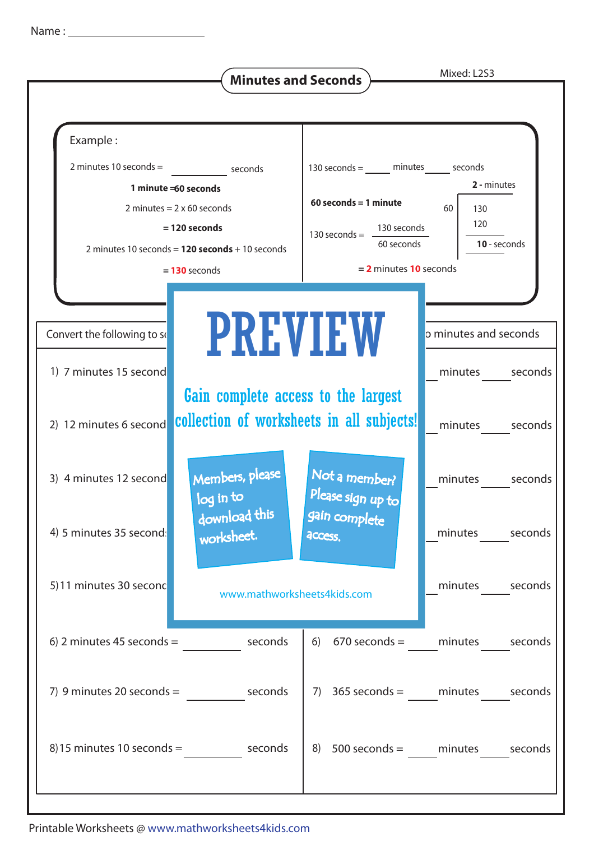